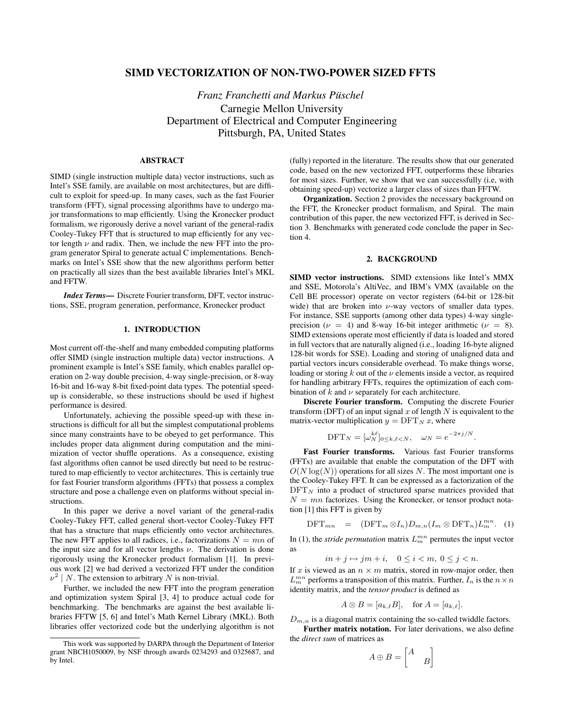# SIMD VECTORIZATION OF NON-TWO-POWER SIZED FFTS

*Franz Franchetti and Markus Puschel ¨* Carnegie Mellon University Department of Electrical and Computer Engineering Pittsburgh, PA, United States

## ABSTRACT

SIMD (single instruction multiple data) vector instructions, such as Intel's SSE family, are available on most architectures, but are difficult to exploit for speed-up. In many cases, such as the fast Fourier transform (FFT), signal processing algorithms have to undergo major transformations to map efficiently. Using the Kronecker product formalism, we rigorously derive a novel variant of the general-radix Cooley-Tukey FFT that is structured to map efficiently for any vector length  $\nu$  and radix. Then, we include the new FFT into the program generator Spiral to generate actual C implementations. Benchmarks on Intel's SSE show that the new algorithms perform better on practically all sizes than the best available libraries Intel's MKL and FFTW.

*Index Terms*— Discrete Fourier transform, DFT, vector instructions, SSE, program generation, performance, Kronecker product

### 1. INTRODUCTION

Most current off-the-shelf and many embedded computing platforms offer SIMD (single instruction multiple data) vector instructions. A prominent example is Intel's SSE family, which enables parallel operation on 2-way double precision, 4-way single-precision, or 8-way 16-bit and 16-way 8-bit fixed-point data types. The potential speedup is considerable, so these instructions should be used if highest performance is desired.

Unfortunately, achieving the possible speed-up with these instructions is difficult for all but the simplest computational problems since many constraints have to be obeyed to get performance. This includes proper data alignment during computation and the minimization of vector shuffle operations. As a consequence, existing fast algorithms often cannot be used directly but need to be restructured to map efficiently to vector architectures. This is certainly true for fast Fourier transform algorithms (FFTs) that possess a complex structure and pose a challenge even on platforms without special instructions.

In this paper we derive a novel variant of the general-radix Cooley-Tukey FFT, called general short-vector Cooley-Tukey FFT that has a structure that maps efficiently onto vector architectures. The new FFT applies to all radices, i.e., factorizations  $N = mn$  of the input size and for all vector lengths  $\nu$ . The derivation is done rigorously using the Kronecker product formalism [1]. In previous work [2] we had derived a vectorized FFT under the condition  $\nu^2 \mid N$ . The extension to arbitrary N is non-trivial.

Further, we included the new FFT into the program generation and optimization system Spiral [3, 4] to produce actual code for benchmarking. The benchmarks are against the best available libraries FFTW [5, 6] and Intel's Math Kernel Library (MKL). Both libraries offer vectorized code but the underlying algorithm is not (fully) reported in the literature. The results show that our generated code, based on the new vectorized FFT, outperforms these libraries for most sizes. Further, we show that we can successfully (i.e, with obtaining speed-up) vectorize a larger class of sizes than FFTW.

Organization. Section 2 provides the necessary background on the FFT, the Kronecker product formalism, and Spiral. The main contribution of this paper, the new vectorized FFT, is derived in Section 3. Benchmarks with generated code conclude the paper in Section 4.

#### 2. BACKGROUND

SIMD vector instructions. SIMD extensions like Intel's MMX and SSE, Motorola's AltiVec, and IBM's VMX (available on the Cell BE processor) operate on vector registers (64-bit or 128-bit wide) that are broken into  $\nu$ -way vectors of smaller data types. For instance, SSE supports (among other data types) 4-way singleprecision ( $\nu = 4$ ) and 8-way 16-bit integer arithmetic ( $\nu = 8$ ). SIMD extensions operate most efficiently if data is loaded and stored in full vectors that are naturally aligned (i.e., loading 16-byte aligned 128-bit words for SSE). Loading and storing of unaligned data and partial vectors incurs considerable overhead. To make things worse, loading or storing  $k$  out of the  $\nu$  elements inside a vector, as required for handling arbitrary FFTs, requires the optimization of each combination of  $k$  and  $\nu$  separately for each architecture.

Discrete Fourier transform. Computing the discrete Fourier transform (DFT) of an input signal  $x$  of length  $N$  is equivalent to the matrix-vector multiplication  $y = DFT_N x$ , where

$$
\text{DFT}_N = [\omega_N^{k\ell}]_{0 \le k,\ell < N}, \quad \omega_N = e^{-2\pi j/N}.
$$

Fast Fourier transforms. Various fast Fourier transforms (FFTs) are available that enable the computation of the DFT with  $O(N \log(N))$  operations for all sizes N. The most important one is the Cooley-Tukey FFT. It can be expressed as a factorization of the  $\text{DFT}_N$  into a product of structured sparse matrices provided that  $N = mn$  factorizes. Using the Kronecker, or tensor product notation [1] this FFT is given by

$$
\text{DFT}_{mn} = (\text{DFT}_m \otimes I_n) D_{m,n} (I_m \otimes \text{DFT}_n) L_m^{mn}. \quad (1)
$$

In (1), the *stride permutation* matrix  $L_m^{mn}$  permutes the input vector as

$$
in+j\mapsto jm+i,\quad 0\leq i
$$

If x is viewed as an  $n \times m$  matrix, stored in row-major order, then  $L_m^{mn}$  performs a transposition of this matrix. Further,  $I_n$  is the  $n \times n$ identity matrix, and the *tensor product* is defined as

$$
A \otimes B = [a_{k,\ell}B], \quad \text{for } A = [a_{k,\ell}].
$$

 $D_{m,n}$  is a diagonal matrix containing the so-called twiddle factors. Further matrix notation. For later derivations, we also define

the *direct sum* of matrices as ·  $\overline{a}$ 

$$
A \oplus B = \begin{bmatrix} A \\ & B \end{bmatrix}
$$

This work was supported by DARPA through the Department of Interior grant NBCH1050009, by NSF through awards 0234293 and 0325687, and by Intel.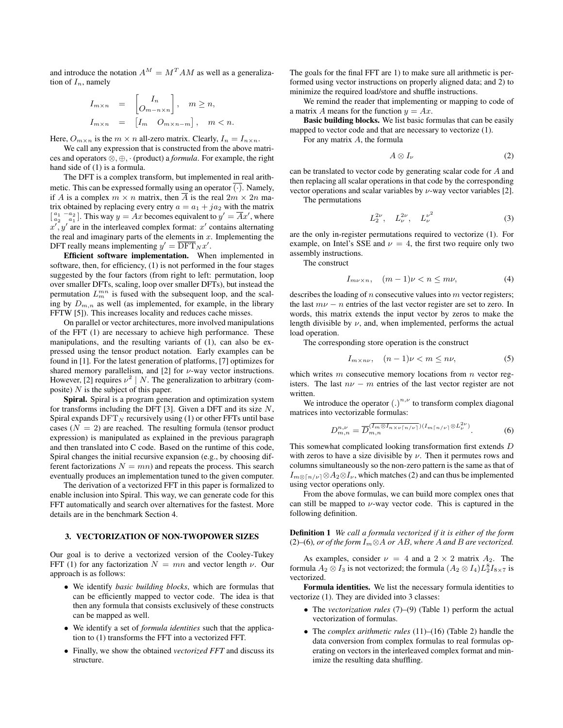and introduce the notation  $A^M = M^T A M$  as well as a generalization of  $I_n$ , namely

$$
I_{m \times n} = \begin{bmatrix} I_n \\ O_{m-n \times n} \end{bmatrix}, \quad m \ge n,
$$
  

$$
I_{m \times n} = \begin{bmatrix} I_m & O_{m \times n-m} \end{bmatrix}, \quad m < n.
$$

Here,  $O_{m \times n}$  is the  $m \times n$  all-zero matrix. Clearly,  $I_n = I_{n \times n}$ .

We call any expression that is constructed from the above matrices and operators ⊗, ⊕, · (product) a *formula*. For example, the right hand side of (1) is a formula.

The DFT is a complex transform, but implemented in real arithmetic. This can be expressed formally using an operator  $\overline{(\cdot)}$ . Namely, if A is a complex  $m \times n$  matrix, then  $\overline{A}$  is the real  $2m \times 2n$  matrix obtained by replacing every entry  $a = a_1 + ja_2$  with the matrix  $\begin{bmatrix} a_1 & -a_2 \ a_2 & a_1 \end{bmatrix}$ . This way  $y = Ax$  becomes equivalent to  $y' = \overline{A}x'$ , where  $x', y'$  are in the interleaved complex format: x' contains alternating the real and imaginary parts of the elements in  $x$ . Implementing the DFT really means implementing  $y' = \overline{DFT}_N x'$ .

Efficient software implementation. When implemented in software, then, for efficiency, (1) is not performed in the four stages suggested by the four factors (from right to left: permutation, loop over smaller DFTs, scaling, loop over smaller DFTs), but instead the permutation  $L_m^{mn}$  is fused with the subsequent loop, and the scaling by  $D_{m,n}$  as well (as implemented, for example, in the library FFTW [5]). This increases locality and reduces cache misses.

On parallel or vector architectures, more involved manipulations of the FFT (1) are necessary to achieve high performance. These manipulations, and the resulting variants of (1), can also be expressed using the tensor product notation. Early examples can be found in [1]. For the latest generation of platforms, [7] optimizes for shared memory parallelism, and [2] for  $\nu$ -way vector instructions. However, [2] requires  $\nu^2 \mid N$ . The generalization to arbitrary (composite)  $N$  is the subject of this paper.

Spiral. Spiral is a program generation and optimization system for transforms including the DFT [3]. Given a DFT and its size  $N$ , Spiral expands  $DFT_N$  recursively using (1) or other FFTs until base cases  $(N = 2)$  are reached. The resulting formula (tensor product expression) is manipulated as explained in the previous paragraph and then translated into C code. Based on the runtime of this code, Spiral changes the initial recursive expansion (e.g., by choosing different factorizations  $N = mn$ ) and repeats the process. This search eventually produces an implementation tuned to the given computer.

The derivation of a vectorized FFT in this paper is formalized to enable inclusion into Spiral. This way, we can generate code for this FFT automatically and search over alternatives for the fastest. More details are in the benchmark Section 4.

## 3. VECTORIZATION OF NON-TWOPOWER SIZES

Our goal is to derive a vectorized version of the Cooley-Tukey FFT (1) for any factorization  $N = mn$  and vector length  $\nu$ . Our approach is as follows:

- We identify *basic building blocks*, which are formulas that can be efficiently mapped to vector code. The idea is that then any formula that consists exclusively of these constructs can be mapped as well.
- We identify a set of *formula identities* such that the application to (1) transforms the FFT into a vectorized FFT.
- Finally, we show the obtained *vectorized FFT* and discuss its structure.

The goals for the final FFT are 1) to make sure all arithmetic is performed using vector instructions on properly aligned data; and 2) to minimize the required load/store and shuffle instructions.

We remind the reader that implementing or mapping to code of a matrix A means for the function  $y = Ax$ .

Basic building blocks. We list basic formulas that can be easily mapped to vector code and that are necessary to vectorize (1).

For any matrix A, the formula

$$
A \otimes I_{\nu} \tag{2}
$$

can be translated to vector code by generating scalar code for A and then replacing all scalar operations in that code by the corresponding vector operations and scalar variables by  $\nu$ -way vector variables [2].

The permutations

$$
L_2^{2\nu}, \quad L_\nu^{2\nu}, \quad L_\nu^{\nu^2} \tag{3}
$$

are the only in-register permutations required to vectorize (1). For example, on Intel's SSE and  $\nu = 4$ , the first two require only two assembly instructions.

The construct

$$
I_{m\nu \times n}, \quad (m-1)\nu < n \le m\nu,\tag{4}
$$

describes the loading of  $n$  consecutive values into  $m$  vector registers; the last  $m\nu - n$  entries of the last vector register are set to zero. In words, this matrix extends the input vector by zeros to make the length divisible by  $\nu$ , and, when implemented, performs the actual load operation.

The corresponding store operation is the construct

$$
I_{m \times n\nu}, \quad (n-1)\nu < m \le n\nu,\tag{5}
$$

which writes  $m$  consecutive memory locations from  $n$  vector registers. The last  $n\nu - m$  entries of the last vector register are not written.

We introduce the operator  $(.)^{n,\nu}$  to transform complex diagonal matrices into vectorizable formulas:

$$
D_{m,n}^{n,\nu} = \overline{D}_{m,n}^{(\overline{I_m \otimes I_{n \times \nu}[n/\nu]}) (I_{m\lceil n/\nu \rceil} \otimes L_{\nu}^{2\nu})}.
$$
 (6)

This somewhat complicated looking transformation first extends D with zeros to have a size divisible by  $\nu$ . Then it permutes rows and columns simultaneously so the non-zero pattern is the same as that of  $I_{m\otimes \lceil n/\nu \rceil} \otimes A_2 \otimes I_{\nu}$ , which matches (2) and can thus be implemented using vector operations only.

From the above formulas, we can build more complex ones that can still be mapped to  $\nu$ -way vector code. This is captured in the following definition.

Definition 1 *We call a formula vectorized if it is either of the form* (2)–(6)*, or of the form*  $I_m$ ⊗A *or* AB*, where* A *and* B *are vectorized.* 

As examples, consider  $\nu = 4$  and a  $2 \times 2$  matrix  $A_2$ . The formula  $A_2 \otimes I_3$  is not vectorized; the formula  $(A_2 \otimes I_4)L_2^8 I_{8 \times 7}$  is vectorized.

Formula identities. We list the necessary formula identities to vectorize (1). They are divided into 3 classes:

- The *vectorization rules* (7)–(9) (Table 1) perform the actual vectorization of formulas.
- The *complex arithmetic rules* (11)–(16) (Table 2) handle the data conversion from complex formulas to real formulas operating on vectors in the interleaved complex format and minimize the resulting data shuffling.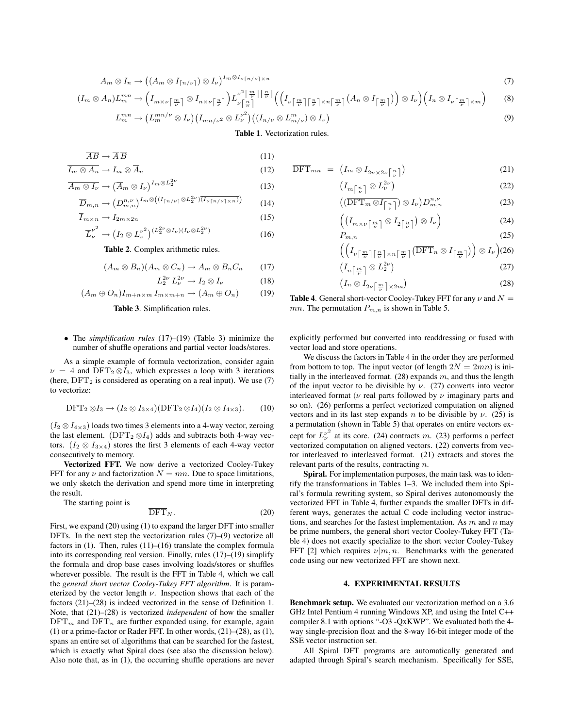$$
A_m \otimes I_n \to ((A_m \otimes I_{\lceil n/\nu \rceil}) \otimes I_\nu)^{I_m \otimes I_\nu \lceil n/\nu \rceil \times n} \tag{7}
$$

$$
(I_m \otimes A_n)L_m^{mn} \to \left(I_{m \times \nu\left\lceil \frac{m}{\nu}\right\rceil} \otimes I_{n \times \nu\left\lceil \frac{n}{\nu}\right\rceil}\right) L_{\nu\left\lceil \frac{n}{\nu}\right\rceil}^{\nu^2\left\lceil \frac{m}{\nu}\right\rceil \left\lceil \frac{n}{\nu}\right\rceil} \left(\left(I_{\nu\left\lceil \frac{m}{\nu}\right\rceil \left\lceil \frac{n}{\nu}\right\rceil \times n\left\lceil \frac{m}{\nu}\right\rceil}\right) \otimes I_{\nu}\right)\left(I_n \otimes I_{\nu\left\lceil \frac{m}{\nu}\right\rceil \times m}\right) \qquad (8)
$$
\n
$$
L_m^{mn} \to (L_m^{mn/\nu} \otimes I_{\nu})\left(I_{mn/\nu^2} \otimes L_{\nu}^{\nu^2}\right)\left(\left(I_{n/\nu} \otimes L_{m/\nu}^m\right) \otimes I_{\nu}\right) \qquad (9)
$$

$$
L_m^{mn} \to \left( L_m^{mn/\nu} \otimes I_{\nu} \right) \left( I_{mn/\nu^2} \otimes L_{\nu}^{\nu^2} \right) \left( \left( I_{n/\nu} \otimes L_{m/\nu}^m \right) \otimes I_{\nu} \right)
$$

## Table 1. Vectorization rules.

$$
\overline{AB} \to \overline{A} \,\overline{B} \tag{11}
$$

$$
\overline{I_m \otimes A_n} \to I_m \otimes \overline{A}_n \tag{12}
$$

$$
\overline{A_m \otimes I_{\nu}} \to \left(\overline{A}_m \otimes I_{\nu}\right)^{I_m \otimes L_2^{2\nu}} \tag{13}
$$

$$
\overline{D}_{m,n} \to \left(D_{m,n}^{n,\nu}\right)^{I_m \otimes \left((I_{\lceil n/\nu \rceil} \otimes L_2^{2\nu})\overline{(I_{\nu\lceil n/\nu \rceil \times n})}\right)} \tag{14}
$$

$$
\overline{I}_{m \times n} \to I_{2m \times 2n} \tag{15}
$$

$$
\overline{L}_{\nu}^{\nu^2} \to \left(I_2 \otimes L_{\nu}^{\nu^2}\right)^{(L_2^{2\nu} \otimes I_{\nu})(I_{\nu} \otimes L_2^{2\nu})} \tag{16}
$$

Table 2. Complex arithmetic rules.

$$
(A_m \otimes B_n)(A_m \otimes C_n) \to A_m \otimes B_n C_n \qquad (17)
$$

$$
L_2^{2\nu} L_\nu^{2\nu} \to I_2 \otimes I_\nu \tag{18}
$$

$$
(A_m \oplus O_n)I_{m+n \times m} I_{m \times m+n} \to (A_m \oplus O_n) \tag{19}
$$



• The *simplification rules* (17)–(19) (Table 3) minimize the number of shuffle operations and partial vector loads/stores.

As a simple example of formula vectorization, consider again  $\nu = 4$  and DFT<sub>2</sub>  $\otimes I_3$ , which expresses a loop with 3 iterations (here,  $DFT_2$  is considered as operating on a real input). We use (7) to vectorize:

$$
\text{DFT}_2 \otimes I_3 \to (I_2 \otimes I_{3 \times 4})(\text{DFT}_2 \otimes I_4)(I_2 \otimes I_{4 \times 3}).\tag{10}
$$

 $(I_2 \otimes I_{4\times3})$  loads two times 3 elements into a 4-way vector, zeroing the last element. ( $DFT_2 \otimes I_4$ ) adds and subtracts both 4-way vectors. ( $I_2 \otimes I_{3\times 4}$ ) stores the first 3 elements of each 4-way vector consecutively to memory.

Vectorized FFT. We now derive a vectorized Cooley-Tukey FFT for any  $\nu$  and factorization  $N = mn$ . Due to space limitations, we only sketch the derivation and spend more time in interpreting the result.

The starting point is

$$
\overline{\text{DFT}}_N. \tag{20}
$$

First, we expand (20) using (1) to expand the larger DFT into smaller DFTs. In the next step the vectorization rules (7)–(9) vectorize all factors in (1). Then, rules (11)–(16) translate the complex formula into its corresponding real version. Finally, rules (17)–(19) simplify the formula and drop base cases involving loads/stores or shuffles wherever possible. The result is the FFT in Table 4, which we call the *general short vector Cooley-Tukey FFT algorithm*. It is parameterized by the vector length  $\nu$ . Inspection shows that each of the factors (21)–(28) is indeed vectorized in the sense of Definition 1. Note, that (21)–(28) is vectorized *independent* of how the smaller  $\mathrm{DFT}_m$  and  $\mathrm{DFT}_n$  are further expanded using, for example, again (1) or a prime-factor or Rader FFT. In other words, (21)–(28), as (1), spans an entire set of algorithms that can be searched for the fastest, which is exactly what Spiral does (see also the discussion below). Also note that, as in (1), the occurring shuffle operations are never

$$
\overline{\text{DFT}}_{mn} = \left(I_m \otimes I_{2n \times 2\nu} \left[\frac{n}{\nu}\right]\right) \tag{21}
$$

$$
\left(I_m\left[\frac{n}{\nu}\right] \otimes L_\nu^{2\nu}\right) \tag{22}
$$

$$
\left(\left(\overline{\text{DFT}_m \otimes I_{\left[\frac{n}{\nu}\right]}}\right) \otimes I_{\nu}\right) D_{m,n}^{n,\nu} \tag{23}
$$

$$
\left( \left( I_{m \times \nu \left\lceil \frac{m}{\nu} \right\rceil} \otimes I_{2\left\lceil \frac{n}{\nu} \right\rceil} \right) \otimes I_{\nu} \right) \tag{24}
$$

$$
P_{m,n} \tag{25}
$$

$$
\left( \left( I_{\nu \left\lceil \frac{m}{\nu} \right\rceil \left\lceil \frac{n}{\nu} \right\rceil \times n} \left( \frac{m}{\nu} \right) \left( \overline{\text{DFT}}_n \otimes I_{\left\lceil \frac{m}{\nu} \right\rceil} \right) \right) \otimes I_{\nu} \right) (26)
$$

$$
\left(I_n\left[\frac{m}{\nu}\right]\otimes L_2^{2\nu}\right) \tag{27}
$$

$$
\left(I_n \otimes I_{2\nu} \left[\frac{m}{\nu}\right] \times 2m\right) \tag{28}
$$

**Table 4.** General short-vector Cooley-Tukey FFT for any  $\nu$  and  $N =$ mn. The permutation  $P_{m,n}$  is shown in Table 5.

explicitly performed but converted into readdressing or fused with vector load and store operations.

We discuss the factors in Table 4 in the order they are performed from bottom to top. The input vector (of length  $2N = 2mn$ ) is initially in the interleaved format.  $(28)$  expands m, and thus the length of the input vector to be divisible by  $\nu$ . (27) converts into vector interleaved format ( $\nu$  real parts followed by  $\nu$  imaginary parts and so on). (26) performs a perfect vectorized computation on aligned vectors and in its last step expands n to be divisible by  $\nu$ . (25) is a permutation (shown in Table 5) that operates on entire vectors except for  $L_{\nu}^{\nu^2}$  at its core. (24) contracts m. (23) performs a perfect vectorized computation on aligned vectors. (22) converts from vector interleaved to interleaved format. (21) extracts and stores the relevant parts of the results, contracting n.

Spiral. For implementation purposes, the main task was to identify the transformations in Tables 1–3. We included them into Spiral's formula rewriting system, so Spiral derives autonomously the vectorized FFT in Table 4, further expands the smaller DFTs in different ways, generates the actual C code including vector instructions, and searches for the fastest implementation. As  $m$  and  $n$  may be prime numbers, the general short vector Cooley-Tukey FFT (Table 4) does not exactly specialize to the short vector Cooley-Tukey FFT [2] which requires  $\nu|m, n$ . Benchmarks with the generated code using our new vectorized FFT are shown next.

#### 4. EXPERIMENTAL RESULTS

Benchmark setup. We evaluated our vectorization method on a 3.6 GHz Intel Pentium 4 running Windows XP, and using the Intel C++ compiler 8.1 with options "-O3 -QxKWP". We evaluated both the 4 way single-precision float and the 8-way 16-bit integer mode of the SSE vector instruction set.

All Spiral DFT programs are automatically generated and adapted through Spiral's search mechanism. Specifically for SSE,